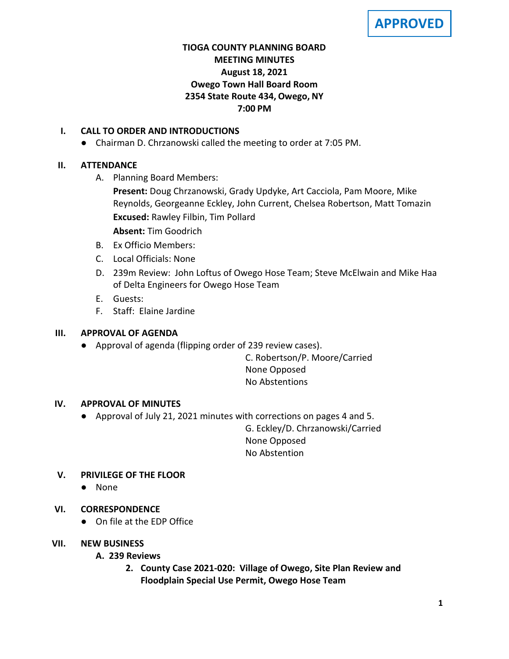**APPROVED**

# **TIOGA COUNTY PLANNING BOARD MEETING MINUTES August 18, 2021 Owego Town Hall Board Room 2354 State Route 434, Owego, NY 7:00 PM**

### **I. CALL TO ORDER AND INTRODUCTIONS**

● Chairman D. Chrzanowski called the meeting to order at 7:05 PM.

### **II. ATTENDANCE**

A. Planning Board Members:

**Present:** Doug Chrzanowski, Grady Updyke, Art Cacciola, Pam Moore, Mike Reynolds, Georgeanne Eckley, John Current, Chelsea Robertson, Matt Tomazin **Excused:** Rawley Filbin, Tim Pollard

**Absent:** Tim Goodrich

- B. Ex Officio Members:
- C. Local Officials: None
- D. 239m Review: John Loftus of Owego Hose Team; Steve McElwain and Mike Haa of Delta Engineers for Owego Hose Team
- E. Guests:
- F. Staff: Elaine Jardine

## **III. APPROVAL OF AGENDA**

● Approval of agenda (flipping order of 239 review cases).

C. Robertson/P. Moore/Carried None Opposed No Abstentions

# **IV. APPROVAL OF MINUTES**

● Approval of July 21, 2021 minutes with corrections on pages 4 and 5.

G. Eckley/D. Chrzanowski/Carried None Opposed No Abstention

# **V. PRIVILEGE OF THE FLOOR**

● None

# **VI. CORRESPONDENCE**

● On file at the EDP Office

### **VII. NEW BUSINESS**

# **A. A. 239 Reviews**

**2. County Case 2021-020: Village of Owego, Site Plan Review and Floodplain Special Use Permit, Owego Hose Team**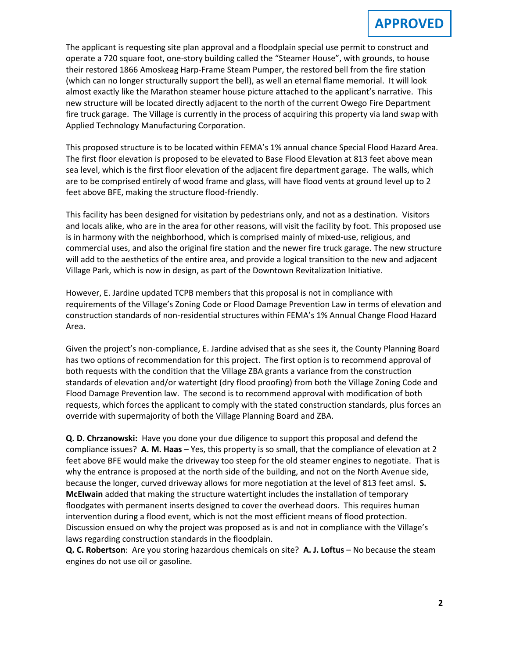The applicant is requesting site plan approval and a floodplain special use permit to construct and operate a 720 square foot, one-story building called the "Steamer House", with grounds, to house their restored 1866 Amoskeag Harp-Frame Steam Pumper, the restored bell from the fire station (which can no longer structurally support the bell), as well an eternal flame memorial. It will look almost exactly like the Marathon steamer house picture attached to the applicant's narrative. This new structure will be located directly adjacent to the north of the current Owego Fire Department fire truck garage. The Village is currently in the process of acquiring this property via land swap with Applied Technology Manufacturing Corporation.

This proposed structure is to be located within FEMA's 1% annual chance Special Flood Hazard Area. The first floor elevation is proposed to be elevated to Base Flood Elevation at 813 feet above mean sea level, which is the first floor elevation of the adjacent fire department garage. The walls, which are to be comprised entirely of wood frame and glass, will have flood vents at ground level up to 2 feet above BFE, making the structure flood-friendly.

This facility has been designed for visitation by pedestrians only, and not as a destination. Visitors and locals alike, who are in the area for other reasons, will visit the facility by foot. This proposed use is in harmony with the neighborhood, which is comprised mainly of mixed-use, religious, and commercial uses, and also the original fire station and the newer fire truck garage. The new structure will add to the aesthetics of the entire area, and provide a logical transition to the new and adjacent Village Park, which is now in design, as part of the Downtown Revitalization Initiative.

However, E. Jardine updated TCPB members that this proposal is not in compliance with requirements of the Village's Zoning Code or Flood Damage Prevention Law in terms of elevation and construction standards of non-residential structures within FEMA's 1% Annual Change Flood Hazard Area.

Given the project's non-compliance, E. Jardine advised that as she sees it, the County Planning Board has two options of recommendation for this project. The first option is to recommend approval of both requests with the condition that the Village ZBA grants a variance from the construction standards of elevation and/or watertight (dry flood proofing) from both the Village Zoning Code and Flood Damage Prevention law. The second is to recommend approval with modification of both requests, which forces the applicant to comply with the stated construction standards, plus forces an override with supermajority of both the Village Planning Board and ZBA.

**Q. D. Chrzanowski:** Have you done your due diligence to support this proposal and defend the compliance issues? **A. M. Haas** – Yes, this property is so small, that the compliance of elevation at 2 feet above BFE would make the driveway too steep for the old steamer engines to negotiate. That is why the entrance is proposed at the north side of the building, and not on the North Avenue side, because the longer, curved driveway allows for more negotiation at the level of 813 feet amsl. **S. McElwain** added that making the structure watertight includes the installation of temporary floodgates with permanent inserts designed to cover the overhead doors. This requires human intervention during a flood event, which is not the most efficient means of flood protection. Discussion ensued on why the project was proposed as is and not in compliance with the Village's laws regarding construction standards in the floodplain.

**Q. C. Robertson**: Are you storing hazardous chemicals on site? **A. J. Loftus** – No because the steam engines do not use oil or gasoline.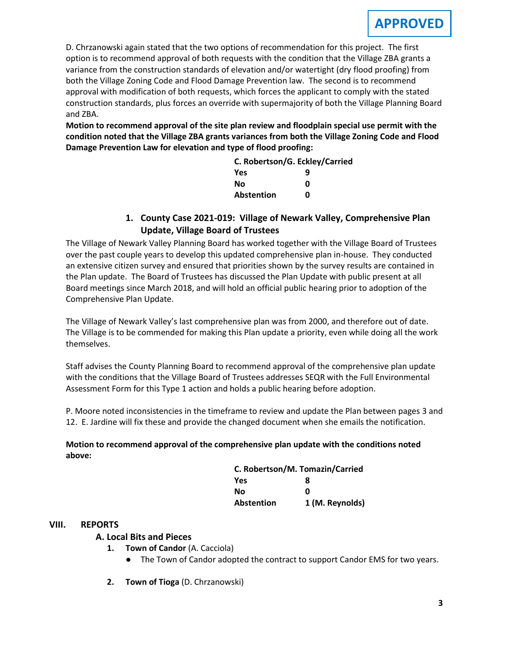D. Chrzanowski again stated that the two options of recommendation for this project. The first option is to recommend approval of both requests with the condition that the Village ZBA grants a variance from the construction standards of elevation and/or watertight (dry flood proofing) from both the Village Zoning Code and Flood Damage Prevention law. The second is to recommend approval with modification of both requests, which forces the applicant to comply with the stated construction standards, plus forces an override with supermajority of both the Village Planning Board and ZBA.

**Motion to recommend approval of the site plan review and floodplain special use permit with the condition noted that the Village ZBA grants variances from both the Village Zoning Code and Flood Damage Prevention Law for elevation and type of flood proofing:**

| C. Robertson/G. Eckley/Carried |   |
|--------------------------------|---|
| Yes                            | q |
| Nο                             | O |
| <b>Abstention</b>              | n |

### **1. County Case 2021-019: Village of Newark Valley, Comprehensive Plan Update, Village Board of Trustees**

The Village of Newark Valley Planning Board has worked together with the Village Board of Trustees over the past couple years to develop this updated comprehensive plan in-house. They conducted an extensive citizen survey and ensured that priorities shown by the survey results are contained in the Plan update. The Board of Trustees has discussed the Plan Update with public present at all Board meetings since March 2018, and will hold an official public hearing prior to adoption of the Comprehensive Plan Update.

The Village of Newark Valley's last comprehensive plan was from 2000, and therefore out of date. The Village is to be commended for making this Plan update a priority, even while doing all the work themselves.

Staff advises the County Planning Board to recommend approval of the comprehensive plan update with the conditions that the Village Board of Trustees addresses SEQR with the Full Environmental Assessment Form for this Type 1 action and holds a public hearing before adoption.

P. Moore noted inconsistencies in the timeframe to review and update the Plan between pages 3 and 12. E. Jardine will fix these and provide the changed document when she emails the notification.

#### **Motion to recommend approval of the comprehensive plan update with the conditions noted above:**

| C. Robertson/M. Tomazin/Carried |                 |
|---------------------------------|-----------------|
| Yes                             | 8               |
| Nο                              | ŋ               |
| Abstention                      | 1 (M. Reynolds) |

### **VIII. REPORTS**

#### **A. A. Local Bits and Pieces**

- **1. Town of Candor** (A. Cacciola)
	- The Town of Candor adopted the contract to support Candor EMS for two years.
- **2. Town of Tioga** (D. Chrzanowski)